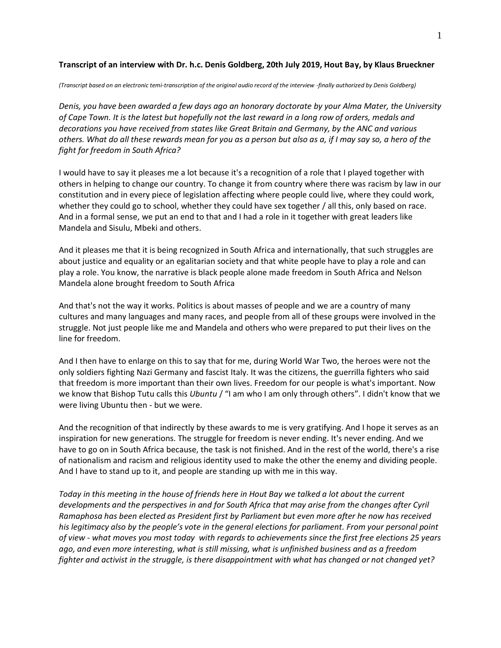## **Transcript of an interview with Dr. h.c. Denis Goldberg, 20th July 2019, Hout Bay, by Klaus Brueckner**

*(Transcript based on an electronic temi-transcription of the original audio record of the interview -finally authorized by Denis Goldberg)*

*Denis, you have been awarded a few days ago an honorary doctorate by your Alma Mater, the University of Cape Town. It is the latest but hopefully not the last reward in a long row of orders, medals and decorations you have received from states like Great Britain and Germany, by the ANC and various others. What do all these rewards mean for you as a person but also as a, if I may say so, a hero of the fight for freedom in South Africa?* 

I would have to say it pleases me a lot because it's a recognition of a role that I played together with others in helping to change our country. To change it from country where there was racism by law in our constitution and in every piece of legislation affecting where people could live, where they could work, whether they could go to school, whether they could have sex together / all this, only based on race. And in a formal sense, we put an end to that and I had a role in it together with great leaders like Mandela and Sisulu, Mbeki and others.

And it pleases me that it is being recognized in South Africa and internationally, that such struggles are about justice and equality or an egalitarian society and that white people have to play a role and can play a role. You know, the narrative is black people alone made freedom in South Africa and Nelson Mandela alone brought freedom to South Africa

And that's not the way it works. Politics is about masses of people and we are a country of many cultures and many languages and many races, and people from all of these groups were involved in the struggle. Not just people like me and Mandela and others who were prepared to put their lives on the line for freedom.

And I then have to enlarge on this to say that for me, during World War Two, the heroes were not the only soldiers fighting Nazi Germany and fascist Italy. It was the citizens, the guerrilla fighters who said that freedom is more important than their own lives. Freedom for our people is what's important. Now we know that Bishop Tutu calls this *Ubuntu* / "I am who I am only through others". I didn't know that we were living Ubuntu then - but we were.

And the recognition of that indirectly by these awards to me is very gratifying. And I hope it serves as an inspiration for new generations. The struggle for freedom is never ending. It's never ending. And we have to go on in South Africa because, the task is not finished. And in the rest of the world, there's a rise of nationalism and racism and religious identity used to make the other the enemy and dividing people. And I have to stand up to it, and people are standing up with me in this way.

*Today in this meeting in the house of friends here in Hout Bay we talked a lot about the current developments and the perspectives in and for South Africa that may arise from the changes after Cyril Ramaphosa has been elected as President first by Parliament but even more after he now has received his legitimacy also by the people's vote in the general elections for parliament. From your personal point of view - what moves you most today with regards to achievements since the first free elections 25 years ago, and even more interesting, what is still missing, what is unfinished business and as a freedom fighter and activist in the struggle, is there disappointment with what has changed or not changed yet?*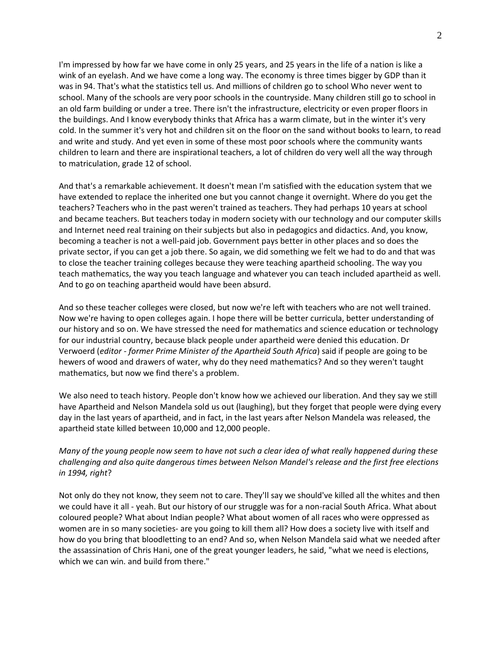I'm impressed by how far we have come in only 25 years, and 25 years in the life of a nation is like a wink of an eyelash. And we have come a long way. The economy is three times bigger by GDP than it was in 94. That's what the statistics tell us. And millions of children go to school Who never went to school. Many of the schools are very poor schools in the countryside. Many children still go to school in an old farm building or under a tree. There isn't the infrastructure, electricity or even proper floors in the buildings. And I know everybody thinks that Africa has a warm climate, but in the winter it's very cold. In the summer it's very hot and children sit on the floor on the sand without books to learn, to read and write and study. And yet even in some of these most poor schools where the community wants children to learn and there are inspirational teachers, a lot of children do very well all the way through to matriculation, grade 12 of school.

And that's a remarkable achievement. It doesn't mean I'm satisfied with the education system that we have extended to replace the inherited one but you cannot change it overnight. Where do you get the teachers? Teachers who in the past weren't trained as teachers. They had perhaps 10 years at school and became teachers. But teachers today in modern society with our technology and our computer skills and Internet need real training on their subjects but also in pedagogics and didactics. And, you know, becoming a teacher is not a well-paid job. Government pays better in other places and so does the private sector, if you can get a job there. So again, we did something we felt we had to do and that was to close the teacher training colleges because they were teaching apartheid schooling. The way you teach mathematics, the way you teach language and whatever you can teach included apartheid as well. And to go on teaching apartheid would have been absurd.

And so these teacher colleges were closed, but now we're left with teachers who are not well trained. Now we're having to open colleges again. I hope there will be better curricula, better understanding of our history and so on. We have stressed the need for mathematics and science education or technology for our industrial country, because black people under apartheid were denied this education. Dr Verwoerd (*editor - former Prime Minister of the Apartheid South Africa*) said if people are going to be hewers of wood and drawers of water, why do they need mathematics? And so they weren't taught mathematics, but now we find there's a problem.

We also need to teach history. People don't know how we achieved our liberation. And they say we still have Apartheid and Nelson Mandela sold us out (laughing), but they forget that people were dying every day in the last years of apartheid, and in fact, in the last years after Nelson Mandela was released, the apartheid state killed between 10,000 and 12,000 people.

# *Many of the young people now seem to have not such a clear idea of what really happened during these challenging and also quite dangerous times between Nelson Mandel's release and the first free elections in 1994, right*?

Not only do they not know, they seem not to care. They'll say we should've killed all the whites and then we could have it all - yeah. But our history of our struggle was for a non-racial South Africa. What about coloured people? What about Indian people? What about women of all races who were oppressed as women are in so many societies- are you going to kill them all? How does a society live with itself and how do you bring that bloodletting to an end? And so, when Nelson Mandela said what we needed after the assassination of Chris Hani, one of the great younger leaders, he said, "what we need is elections, which we can win. and build from there."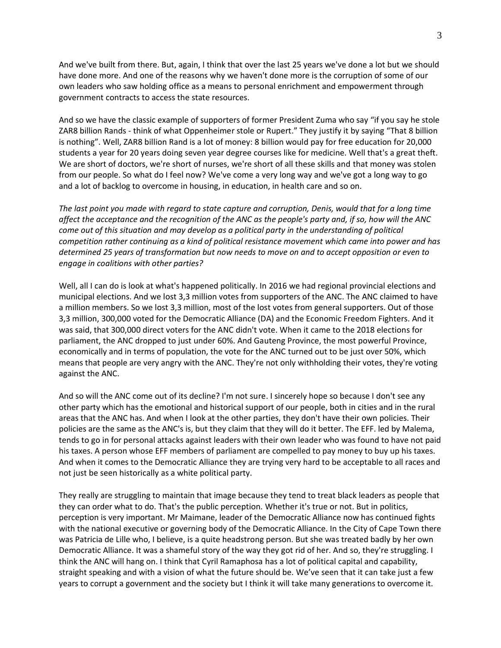And we've built from there. But, again, I think that over the last 25 years we've done a lot but we should have done more. And one of the reasons why we haven't done more is the corruption of some of our own leaders who saw holding office as a means to personal enrichment and empowerment through government contracts to access the state resources.

And so we have the classic example of supporters of former President Zuma who say "if you say he stole ZAR8 billion Rands - think of what Oppenheimer stole or Rupert." They justify it by saying "That 8 billion is nothing". Well, ZAR8 billion Rand is a lot of money: 8 billion would pay for free education for 20,000 students a year for 20 years doing seven year degree courses like for medicine. Well that's a great theft. We are short of doctors, we're short of nurses, we're short of all these skills and that money was stolen from our people. So what do I feel now? We've come a very long way and we've got a long way to go and a lot of backlog to overcome in housing, in education, in health care and so on.

*The last point you made with regard to state capture and corruption, Denis, would that for a long time affect the acceptance and the recognition of the ANC as the people's party and, if so, how will the ANC come out of this situation and may develop as a political party in the understanding of political competition rather continuing as a kind of political resistance movement which came into power and has determined 25 years of transformation but now needs to move on and to accept opposition or even to engage in coalitions with other parties?*

Well, all I can do is look at what's happened politically. In 2016 we had regional provincial elections and municipal elections. And we lost 3,3 million votes from supporters of the ANC. The ANC claimed to have a million members. So we lost 3,3 million, most of the lost votes from general supporters. Out of those 3,3 million, 300,000 voted for the Democratic Alliance (DA) and the Economic Freedom Fighters. And it was said, that 300,000 direct voters for the ANC didn't vote. When it came to the 2018 elections for parliament, the ANC dropped to just under 60%. And Gauteng Province, the most powerful Province, economically and in terms of population, the vote for the ANC turned out to be just over 50%, which means that people are very angry with the ANC. They're not only withholding their votes, they're voting against the ANC.

And so will the ANC come out of its decline? I'm not sure. I sincerely hope so because I don't see any other party which has the emotional and historical support of our people, both in cities and in the rural areas that the ANC has. And when I look at the other parties, they don't have their own policies. Their policies are the same as the ANC's is, but they claim that they will do it better. The EFF. led by Malema, tends to go in for personal attacks against leaders with their own leader who was found to have not paid his taxes. A person whose EFF members of parliament are compelled to pay money to buy up his taxes. And when it comes to the Democratic Alliance they are trying very hard to be acceptable to all races and not just be seen historically as a white political party.

They really are struggling to maintain that image because they tend to treat black leaders as people that they can order what to do. That's the public perception. Whether it's true or not. But in politics, perception is very important. Mr Maimane, leader of the Democratic Alliance now has continued fights with the national executive or governing body of the Democratic Alliance. In the City of Cape Town there was Patricia de Lille who, I believe, is a quite headstrong person. But she was treated badly by her own Democratic Alliance. It was a shameful story of the way they got rid of her. And so, they're struggling. I think the ANC will hang on. I think that Cyril Ramaphosa has a lot of political capital and capability, straight speaking and with a vision of what the future should be. We've seen that it can take just a few years to corrupt a government and the society but I think it will take many generations to overcome it.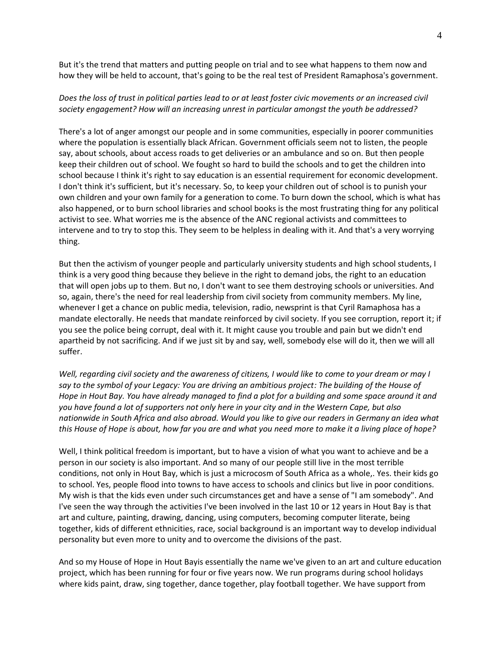But it's the trend that matters and putting people on trial and to see what happens to them now and how they will be held to account, that's going to be the real test of President Ramaphosa's government.

### *Does the loss of trust in political parties lead to or at least foster civic movements or an increased civil society engagement? How will an increasing unrest in particular amongst the youth be addressed?*

There's a lot of anger amongst our people and in some communities, especially in poorer communities where the population is essentially black African. Government officials seem not to listen, the people say, about schools, about access roads to get deliveries or an ambulance and so on. But then people keep their children out of school. We fought so hard to build the schools and to get the children into school because I think it's right to say education is an essential requirement for economic development. I don't think it's sufficient, but it's necessary. So, to keep your children out of school is to punish your own children and your own family for a generation to come. To burn down the school, which is what has also happened, or to burn school libraries and school books is the most frustrating thing for any political activist to see. What worries me is the absence of the ANC regional activists and committees to intervene and to try to stop this. They seem to be helpless in dealing with it. And that's a very worrying thing.

But then the activism of younger people and particularly university students and high school students, I think is a very good thing because they believe in the right to demand jobs, the right to an education that will open jobs up to them. But no, I don't want to see them destroying schools or universities. And so, again, there's the need for real leadership from civil society from community members. My line, whenever I get a chance on public media, television, radio, newsprint is that Cyril Ramaphosa has a mandate electorally. He needs that mandate reinforced by civil society. If you see corruption, report it; if you see the police being corrupt, deal with it. It might cause you trouble and pain but we didn't end apartheid by not sacrificing. And if we just sit by and say, well, somebody else will do it, then we will all suffer.

*Well, regarding civil society and the awareness of citizens, I would like to come to your dream or may I say to the symbol of your Legacy: You are driving an ambitious project: The building of the House of Hope in Hout Bay. You have already managed to find a plot for a building and some space around it and you have found a lot of supporters not only here in your city and in the Western Cape, but also nationwide in South Africa and also abroad. Would you like to give our readers in Germany an idea what this House of Hope is about, how far you are and what you need more to make it a living place of hope?*

Well, I think political freedom is important, but to have a vision of what you want to achieve and be a person in our society is also important. And so many of our people still live in the most terrible conditions, not only in Hout Bay, which is just a microcosm of South Africa as a whole,. Yes. their kids go to school. Yes, people flood into towns to have access to schools and clinics but live in poor conditions. My wish is that the kids even under such circumstances get and have a sense of "I am somebody". And I've seen the way through the activities I've been involved in the last 10 or 12 years in Hout Bay is that art and culture, painting, drawing, dancing, using computers, becoming computer literate, being together, kids of different ethnicities, race, social background is an important way to develop individual personality but even more to unity and to overcome the divisions of the past.

And so my House of Hope in Hout Bayis essentially the name we've given to an art and culture education project, which has been running for four or five years now. We run programs during school holidays where kids paint, draw, sing together, dance together, play football together. We have support from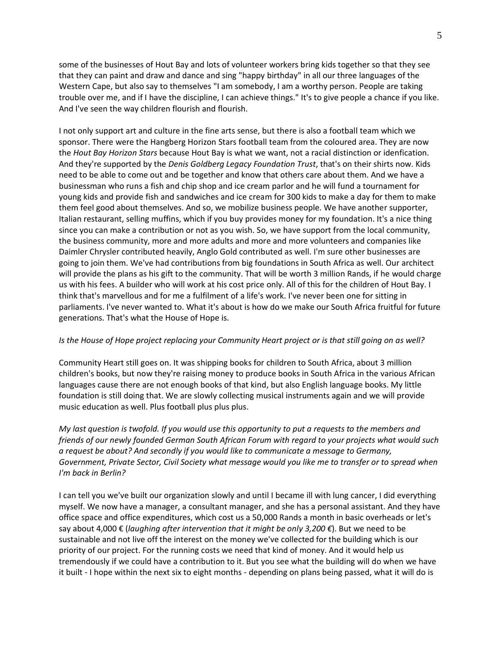some of the businesses of Hout Bay and lots of volunteer workers bring kids together so that they see that they can paint and draw and dance and sing "happy birthday" in all our three languages of the Western Cape, but also say to themselves "I am somebody, I am a worthy person. People are taking trouble over me, and if I have the discipline, I can achieve things." It's to give people a chance if you like. And I've seen the way children flourish and flourish.

I not only support art and culture in the fine arts sense, but there is also a football team which we sponsor. There were the Hangberg Horizon Stars football team from the coloured area. They are now the *Hout Bay Horizon Stars* because Hout Bay is what we want, not a racial distinction or idenfication. And they're supported by the *Denis Goldberg Legacy Foundation Trust*, that's on their shirts now. Kids need to be able to come out and be together and know that others care about them. And we have a businessman who runs a fish and chip shop and ice cream parlor and he will fund a tournament for young kids and provide fish and sandwiches and ice cream for 300 kids to make a day for them to make them feel good about themselves. And so, we mobilize business people. We have another supporter, Italian restaurant, selling muffins, which if you buy provides money for my foundation. It's a nice thing since you can make a contribution or not as you wish. So, we have support from the local community, the business community, more and more adults and more and more volunteers and companies like Daimler Chrysler contributed heavily, Anglo Gold contributed as well. I'm sure other businesses are going to join them. We've had contributions from big foundations in South Africa as well. Our architect will provide the plans as his gift to the community. That will be worth 3 million Rands, if he would charge us with his fees. A builder who will work at his cost price only. All of this for the children of Hout Bay. I think that's marvellous and for me a fulfilment of a life's work. I've never been one for sitting in parliaments. I've never wanted to. What it's about is how do we make our South Africa fruitful for future generations. That's what the House of Hope is.

#### *Is the House of Hope project replacing your Community Heart project or is that still going on as well?*

Community Heart still goes on. It was shipping books for children to South Africa, about 3 million children's books, but now they're raising money to produce books in South Africa in the various African languages cause there are not enough books of that kind, but also English language books. My little foundation is still doing that. We are slowly collecting musical instruments again and we will provide music education as well. Plus football plus plus plus.

*My last question is twofold. If you would use this opportunity to put a requests to the members and friends of our newly founded German South African Forum with regard to your projects what would such a request be about? And secondly if you would like to communicate a message to Germany, Government, Private Sector, Civil Society what message would you like me to transfer or to spread when I'm back in Berlin?*

I can tell you we've built our organization slowly and until I became ill with lung cancer, I did everything myself. We now have a manager, a consultant manager, and she has a personal assistant. And they have office space and office expenditures, which cost us a 50,000 Rands a month in basic overheads or let's say about 4,000 € (*laughing after intervention that it might be only 3,200 €*). But we need to be sustainable and not live off the interest on the money we've collected for the building which is our priority of our project. For the running costs we need that kind of money. And it would help us tremendously if we could have a contribution to it. But you see what the building will do when we have it built - I hope within the next six to eight months - depending on plans being passed, what it will do is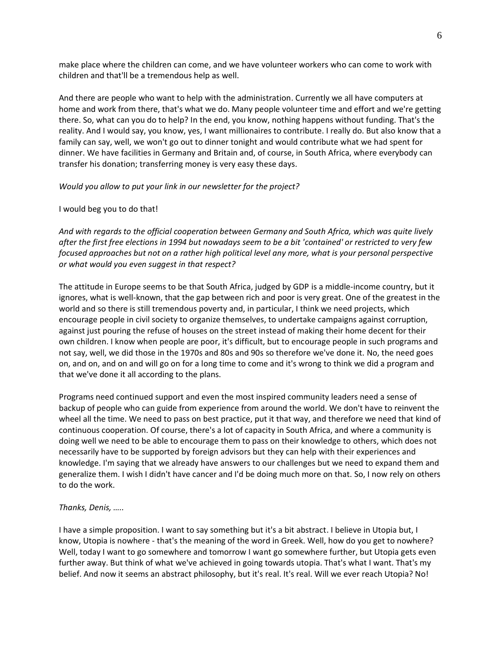make place where the children can come, and we have volunteer workers who can come to work with children and that'll be a tremendous help as well.

And there are people who want to help with the administration. Currently we all have computers at home and work from there, that's what we do. Many people volunteer time and effort and we're getting there. So, what can you do to help? In the end, you know, nothing happens without funding. That's the reality. And I would say, you know, yes, I want millionaires to contribute. I really do. But also know that a family can say, well, we won't go out to dinner tonight and would contribute what we had spent for dinner. We have facilities in Germany and Britain and, of course, in South Africa, where everybody can transfer his donation; transferring money is very easy these days.

## *Would you allow to put your link in our newsletter for the project?*

## I would beg you to do that!

*And with regards to the official cooperation between Germany and South Africa, which was quite lively after the first free elections in 1994 but nowadays seem to be a bit 'contained' or restricted to very few focused approaches but not on a rather high political level any more, what is your personal perspective or what would you even suggest in that respect?*

The attitude in Europe seems to be that South Africa, judged by GDP is a middle-income country, but it ignores, what is well-known, that the gap between rich and poor is very great. One of the greatest in the world and so there is still tremendous poverty and, in particular, I think we need projects, which encourage people in civil society to organize themselves, to undertake campaigns against corruption, against just pouring the refuse of houses on the street instead of making their home decent for their own children. I know when people are poor, it's difficult, but to encourage people in such programs and not say, well, we did those in the 1970s and 80s and 90s so therefore we've done it. No, the need goes on, and on, and on and will go on for a long time to come and it's wrong to think we did a program and that we've done it all according to the plans.

Programs need continued support and even the most inspired community leaders need a sense of backup of people who can guide from experience from around the world. We don't have to reinvent the wheel all the time. We need to pass on best practice, put it that way, and therefore we need that kind of continuous cooperation. Of course, there's a lot of capacity in South Africa, and where a community is doing well we need to be able to encourage them to pass on their knowledge to others, which does not necessarily have to be supported by foreign advisors but they can help with their experiences and knowledge. I'm saying that we already have answers to our challenges but we need to expand them and generalize them. I wish I didn't have cancer and I'd be doing much more on that. So, I now rely on others to do the work.

#### *Thanks, Denis, …..*

I have a simple proposition. I want to say something but it's a bit abstract. I believe in Utopia but, I know, Utopia is nowhere - that's the meaning of the word in Greek. Well, how do you get to nowhere? Well, today I want to go somewhere and tomorrow I want go somewhere further, but Utopia gets even further away. But think of what we've achieved in going towards utopia. That's what I want. That's my belief. And now it seems an abstract philosophy, but it's real. It's real. Will we ever reach Utopia? No!